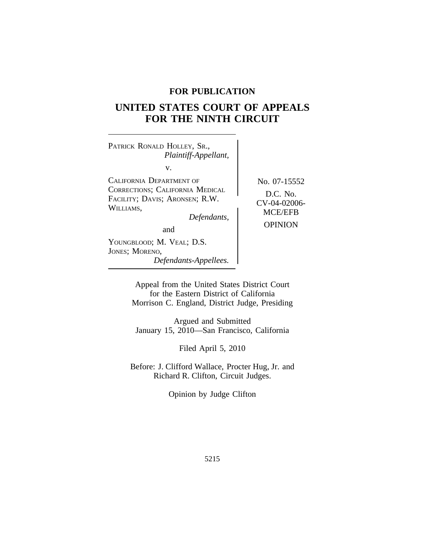# **FOR PUBLICATION**

# **UNITED STATES COURT OF APPEALS FOR THE NINTH CIRCUIT**

<sup>P</sup>ATRICK RONALD HOLLEY, SR., *Plaintiff-Appellant,* v. CALIFORNIA DEPARTMENT OF No. 07-15552<br>CORRECTIONS; CALIFORNIA MEDICAL CORRECTIONS, CALIFORNIA MEDICAL **D.C. No.** FACILITY; DAVIS; ARONSEN; R.W. **CV-04-02006-** WILLIAMS, *Defendants*, OPINION and YOUNGBLOOD; M. VEAL; D.S.

*Defendants-Appellees.*

JONES; MORENO,

Appeal from the United States District Court for the Eastern District of California

Morrison C. England, District Judge, Presiding

Argued and Submitted January 15, 2010—San Francisco, California

Filed April 5, 2010

Before: J. Clifford Wallace, Procter Hug, Jr. and Richard R. Clifton, Circuit Judges.

Opinion by Judge Clifton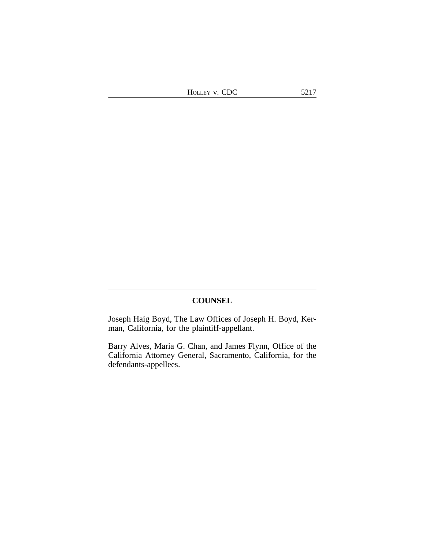# **COUNSEL**

Joseph Haig Boyd, The Law Offices of Joseph H. Boyd, Kerman, California, for the plaintiff-appellant.

Barry Alves, Maria G. Chan, and James Flynn, Office of the California Attorney General, Sacramento, California, for the defendants-appellees.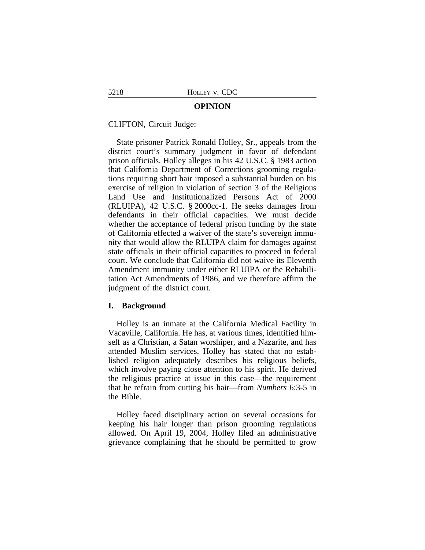#### **OPINION**

CLIFTON, Circuit Judge:

State prisoner Patrick Ronald Holley, Sr., appeals from the district court's summary judgment in favor of defendant prison officials. Holley alleges in his 42 U.S.C. § 1983 action that California Department of Corrections grooming regulations requiring short hair imposed a substantial burden on his exercise of religion in violation of section 3 of the Religious Land Use and Institutionalized Persons Act of 2000 (RLUIPA), 42 U.S.C. § 2000cc-1. He seeks damages from defendants in their official capacities. We must decide whether the acceptance of federal prison funding by the state of California effected a waiver of the state's sovereign immunity that would allow the RLUIPA claim for damages against state officials in their official capacities to proceed in federal court. We conclude that California did not waive its Eleventh Amendment immunity under either RLUIPA or the Rehabilitation Act Amendments of 1986, and we therefore affirm the judgment of the district court.

#### **I. Background**

Holley is an inmate at the California Medical Facility in Vacaville, California. He has, at various times, identified himself as a Christian, a Satan worshiper, and a Nazarite, and has attended Muslim services. Holley has stated that no established religion adequately describes his religious beliefs, which involve paying close attention to his spirit. He derived the religious practice at issue in this case—the requirement that he refrain from cutting his hair—from *Numbers* 6:3-5 in the Bible.

Holley faced disciplinary action on several occasions for keeping his hair longer than prison grooming regulations allowed. On April 19, 2004, Holley filed an administrative grievance complaining that he should be permitted to grow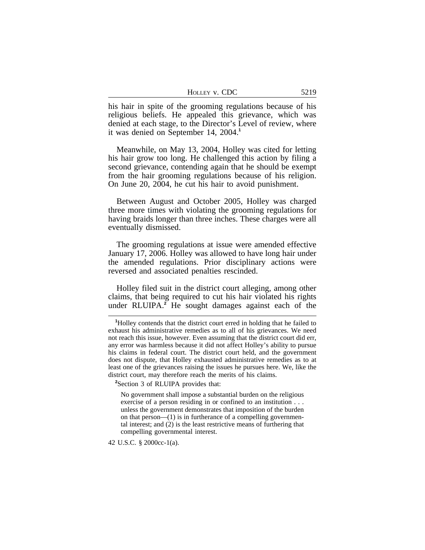| HOLLEY V. CDC | 5219 |
|---------------|------|
|---------------|------|

his hair in spite of the grooming regulations because of his religious beliefs. He appealed this grievance, which was denied at each stage, to the Director's Level of review, where it was denied on September 14, 2004.**<sup>1</sup>**

Meanwhile, on May 13, 2004, Holley was cited for letting his hair grow too long. He challenged this action by filing a second grievance, contending again that he should be exempt from the hair grooming regulations because of his religion. On June 20, 2004, he cut his hair to avoid punishment.

Between August and October 2005, Holley was charged three more times with violating the grooming regulations for having braids longer than three inches. These charges were all eventually dismissed.

The grooming regulations at issue were amended effective January 17, 2006. Holley was allowed to have long hair under the amended regulations. Prior disciplinary actions were reversed and associated penalties rescinded.

Holley filed suit in the district court alleging, among other claims, that being required to cut his hair violated his rights under RLUIPA.**<sup>2</sup>** He sought damages against each of the

**<sup>2</sup>**Section 3 of RLUIPA provides that:

No government shall impose a substantial burden on the religious exercise of a person residing in or confined to an institution . . . unless the government demonstrates that imposition of the burden on that person— $(1)$  is in furtherance of a compelling governmental interest; and (2) is the least restrictive means of furthering that compelling governmental interest.

42 U.S.C. § 2000cc-1(a).

**<sup>1</sup>**Holley contends that the district court erred in holding that he failed to exhaust his administrative remedies as to all of his grievances. We need not reach this issue, however. Even assuming that the district court did err, any error was harmless because it did not affect Holley's ability to pursue his claims in federal court. The district court held, and the government does not dispute, that Holley exhausted administrative remedies as to at least one of the grievances raising the issues he pursues here. We, like the district court, may therefore reach the merits of his claims.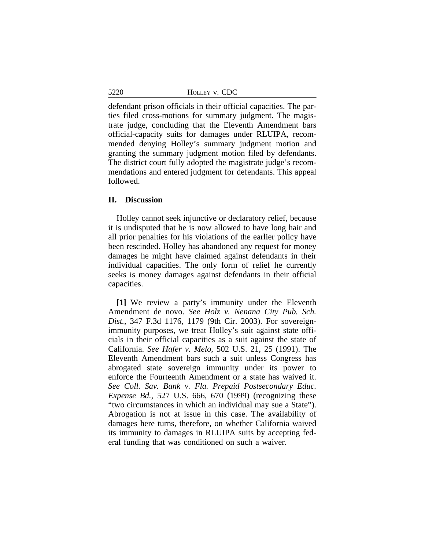5220 HOLLEY v. CDC

defendant prison officials in their official capacities. The parties filed cross-motions for summary judgment. The magistrate judge, concluding that the Eleventh Amendment bars official-capacity suits for damages under RLUIPA, recommended denying Holley's summary judgment motion and granting the summary judgment motion filed by defendants. The district court fully adopted the magistrate judge's recommendations and entered judgment for defendants. This appeal followed.

## **II. Discussion**

Holley cannot seek injunctive or declaratory relief, because it is undisputed that he is now allowed to have long hair and all prior penalties for his violations of the earlier policy have been rescinded. Holley has abandoned any request for money damages he might have claimed against defendants in their individual capacities. The only form of relief he currently seeks is money damages against defendants in their official capacities.

**[1]** We review a party's immunity under the Eleventh Amendment de novo. *See Holz v. Nenana City Pub. Sch. Dist.*, 347 F.3d 1176, 1179 (9th Cir. 2003). For sovereignimmunity purposes, we treat Holley's suit against state officials in their official capacities as a suit against the state of California. *See Hafer v. Melo*, 502 U.S. 21, 25 (1991). The Eleventh Amendment bars such a suit unless Congress has abrogated state sovereign immunity under its power to enforce the Fourteenth Amendment or a state has waived it. *See Coll. Sav. Bank v. Fla. Prepaid Postsecondary Educ. Expense Bd.*, 527 U.S. 666, 670 (1999) (recognizing these "two circumstances in which an individual may sue a State"). Abrogation is not at issue in this case. The availability of damages here turns, therefore, on whether California waived its immunity to damages in RLUIPA suits by accepting federal funding that was conditioned on such a waiver.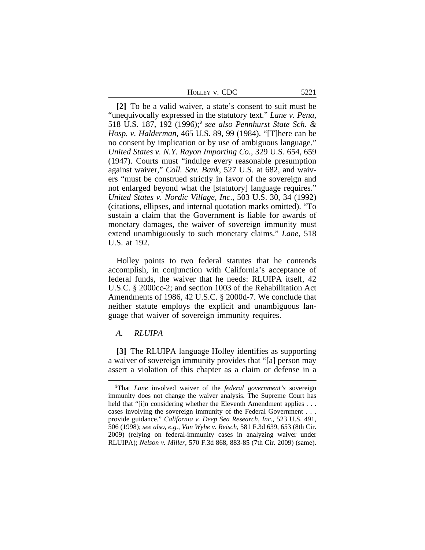**[2]** To be a valid waiver, a state's consent to suit must be "unequivocally expressed in the statutory text." *Lane v. Pena*, 518 U.S. 187, 192 (1996);**<sup>3</sup>** *see also Pennhurst State Sch. & Hosp. v. Halderman*, 465 U.S. 89, 99 (1984). "[T]here can be no consent by implication or by use of ambiguous language." *United States v. N.Y. Rayon Importing Co.*, 329 U.S. 654, 659 (1947). Courts must "indulge every reasonable presumption against waiver," *Coll. Sav. Bank*, 527 U.S. at 682, and waivers "must be construed strictly in favor of the sovereign and not enlarged beyond what the [statutory] language requires." *United States v. Nordic Village, Inc*., 503 U.S. 30, 34 (1992) (citations, ellipses, and internal quotation marks omitted). "To sustain a claim that the Government is liable for awards of monetary damages, the waiver of sovereign immunity must extend unambiguously to such monetary claims." *Lane*, 518 U.S. at 192.

Holley points to two federal statutes that he contends accomplish, in conjunction with California's acceptance of federal funds, the waiver that he needs: RLUIPA itself, 42 U.S.C. § 2000cc-2; and section 1003 of the Rehabilitation Act Amendments of 1986, 42 U.S.C. § 2000d-7. We conclude that neither statute employs the explicit and unambiguous language that waiver of sovereign immunity requires.

#### *A. RLUIPA*

**[3]** The RLUIPA language Holley identifies as supporting a waiver of sovereign immunity provides that "[a] person may assert a violation of this chapter as a claim or defense in a

**<sup>3</sup>**That *Lane* involved waiver of the *federal government's* sovereign immunity does not change the waiver analysis. The Supreme Court has held that "[i]n considering whether the Eleventh Amendment applies . . . cases involving the sovereign immunity of the Federal Government . . . provide guidance." *California v. Deep Sea Research, Inc.*, 523 U.S. 491, 506 (1998); *see also, e.g.*, *Van Wyhe v. Reisch*, 581 F.3d 639, 653 (8th Cir. 2009) (relying on federal-immunity cases in analyzing waiver under RLUIPA); *Nelson v. Miller*, 570 F.3d 868, 883-85 (7th Cir. 2009) (same).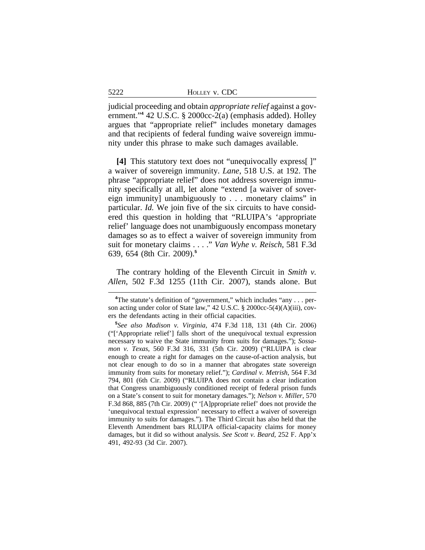judicial proceeding and obtain *appropriate relief* against a government."**<sup>4</sup>** 42 U.S.C. § 2000cc-2(a) (emphasis added). Holley argues that "appropriate relief" includes monetary damages and that recipients of federal funding waive sovereign immunity under this phrase to make such damages available.

**[4]** This statutory text does not "unequivocally express[ ]" a waiver of sovereign immunity. *Lane*, 518 U.S. at 192. The phrase "appropriate relief" does not address sovereign immunity specifically at all, let alone "extend [a waiver of sovereign immunity] unambiguously to . . . monetary claims" in particular. *Id.* We join five of the six circuits to have considered this question in holding that "RLUIPA's 'appropriate relief' language does not unambiguously encompass monetary damages so as to effect a waiver of sovereign immunity from suit for monetary claims . . . ." *Van Wyhe v. Reisch*, 581 F.3d 639, 654 (8th Cir. 2009).**<sup>5</sup>**

The contrary holding of the Eleventh Circuit in *Smith v. Allen*, 502 F.3d 1255 (11th Cir. 2007), stands alone. But

5222

**<sup>4</sup>**The statute's definition of "government," which includes "any . . . person acting under color of State law," 42 U.S.C. § 2000cc-5(4)(A)(iii), covers the defendants acting in their official capacities.

**<sup>5</sup>** *See also Madison v. Virginia*, 474 F.3d 118, 131 (4th Cir. 2006) ("['Appropriate relief'] falls short of the unequivocal textual expression necessary to waive the State immunity from suits for damages."); *Sossamon v. Texas*, 560 F.3d 316, 331 (5th Cir. 2009) ("RLUIPA is clear enough to create a right for damages on the cause-of-action analysis, but not clear enough to do so in a manner that abrogates state sovereign immunity from suits for monetary relief."); *Cardinal v. Metrish*, 564 F.3d 794, 801 (6th Cir. 2009) ("RLUIPA does not contain a clear indication that Congress unambiguously conditioned receipt of federal prison funds on a State's consent to suit for monetary damages."); *Nelson v. Miller*, 570 F.3d 868, 885 (7th Cir. 2009) (" '[A]ppropriate relief' does not provide the 'unequivocal textual expression' necessary to effect a waiver of sovereign immunity to suits for damages."). The Third Circuit has also held that the Eleventh Amendment bars RLUIPA official-capacity claims for money damages, but it did so without analysis. *See Scott v. Beard*, 252 F. App'x 491, 492-93 (3d Cir. 2007).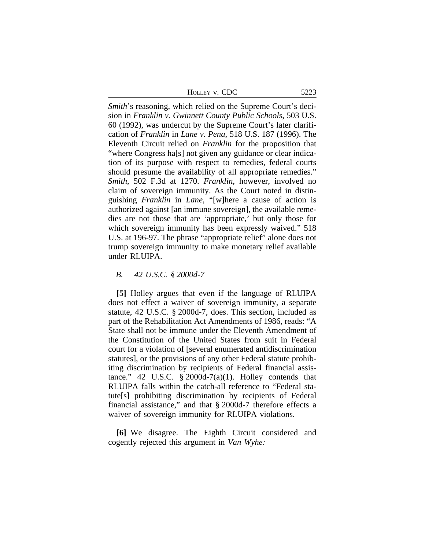| HOLLEY V. CDC | 5223 |
|---------------|------|
|               |      |

*Smith*'s reasoning, which relied on the Supreme Court's decision in *Franklin v. Gwinnett County Public Schools*, 503 U.S. 60 (1992), was undercut by the Supreme Court's later clarification of *Franklin* in *Lane v. Pena*, 518 U.S. 187 (1996). The Eleventh Circuit relied on *Franklin* for the proposition that "where Congress ha[s] not given any guidance or clear indication of its purpose with respect to remedies, federal courts should presume the availability of all appropriate remedies." *Smith*, 502 F.3d at 1270. *Franklin*, however, involved no claim of sovereign immunity. As the Court noted in distinguishing *Franklin* in *Lane*, "[w]here a cause of action is authorized against [an immune sovereign], the available remedies are not those that are 'appropriate,' but only those for which sovereign immunity has been expressly waived." 518 U.S. at 196-97. The phrase "appropriate relief" alone does not trump sovereign immunity to make monetary relief available under RLUIPA.

### *B. 42 U.S.C. § 2000d-7*

**[5]** Holley argues that even if the language of RLUIPA does not effect a waiver of sovereign immunity, a separate statute, 42 U.S.C. § 2000d-7, does. This section, included as part of the Rehabilitation Act Amendments of 1986, reads: "A State shall not be immune under the Eleventh Amendment of the Constitution of the United States from suit in Federal court for a violation of [several enumerated antidiscrimination statutes], or the provisions of any other Federal statute prohibiting discrimination by recipients of Federal financial assistance." 42 U.S.C.  $\S 2000d-7(a)(1)$ . Holley contends that RLUIPA falls within the catch-all reference to "Federal statute[s] prohibiting discrimination by recipients of Federal financial assistance," and that § 2000d-7 therefore effects a waiver of sovereign immunity for RLUIPA violations.

**[6]** We disagree. The Eighth Circuit considered and cogently rejected this argument in *Van Wyhe:*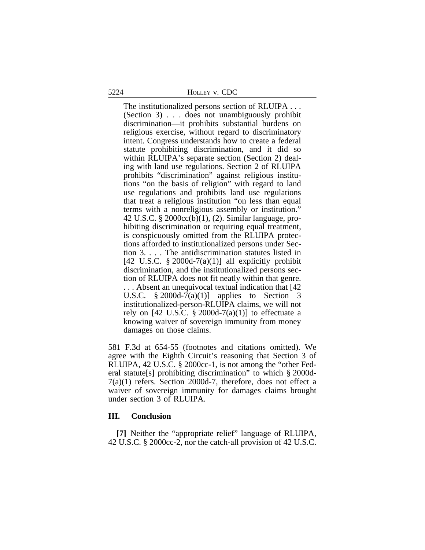The institutionalized persons section of RLUIPA . . . (Section 3) . . . does not unambiguously prohibit discrimination—it prohibits substantial burdens on religious exercise, without regard to discriminatory intent. Congress understands how to create a federal statute prohibiting discrimination, and it did so within RLUIPA's separate section (Section 2) dealing with land use regulations. Section 2 of RLUIPA prohibits "discrimination" against religious institutions "on the basis of religion" with regard to land use regulations and prohibits land use regulations that treat a religious institution "on less than equal terms with a nonreligious assembly or institution." 42 U.S.C. § 2000cc(b)(1), (2). Similar language, prohibiting discrimination or requiring equal treatment, is conspicuously omitted from the RLUIPA protections afforded to institutionalized persons under Section 3. . . . The antidiscrimination statutes listed in [42 U.S.C.  $\S 2000d-7(a)(1)$ ] all explicitly prohibit discrimination, and the institutionalized persons section of RLUIPA does not fit neatly within that genre. . . . Absent an unequivocal textual indication that [42 U.S.C.  $\S 2000d-7(a)(1)$  applies to Section 3 institutionalized-person-RLUIPA claims, we will not rely on [42 U.S.C. § 2000d-7(a)(1)] to effectuate a knowing waiver of sovereign immunity from money damages on those claims.

581 F.3d at 654-55 (footnotes and citations omitted). We agree with the Eighth Circuit's reasoning that Section 3 of RLUIPA, 42 U.S.C. § 2000cc-1, is not among the "other Federal statute[s] prohibiting discrimination" to which § 2000d-7(a)(1) refers. Section 2000d-7, therefore, does not effect a waiver of sovereign immunity for damages claims brought under section 3 of RLUIPA.

## **III. Conclusion**

**[7]** Neither the "appropriate relief" language of RLUIPA, 42 U.S.C. § 2000cc-2, nor the catch-all provision of 42 U.S.C.